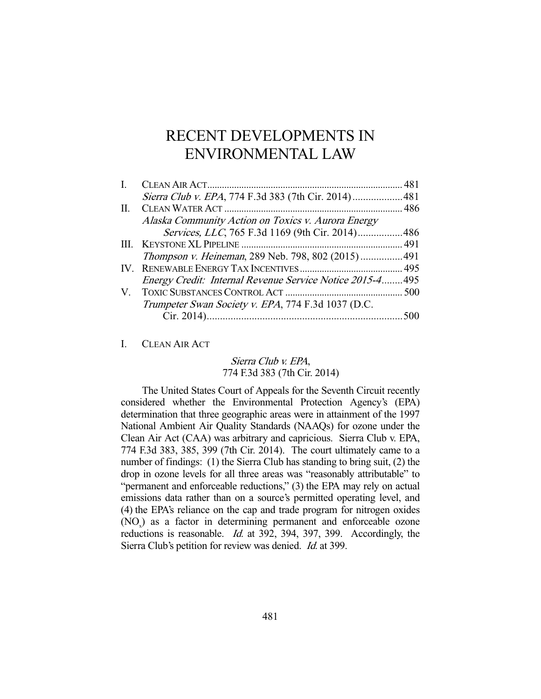# RECENT DEVELOPMENTS IN ENVIRONMENTAL LAW

| Sierra Club v. EPA, 774 F.3d 383 (7th Cir. 2014)481       |  |
|-----------------------------------------------------------|--|
|                                                           |  |
| Alaska Community Action on Toxics v. Aurora Energy        |  |
| Services, LLC, 765 F.3d 1169 (9th Cir. 2014)486           |  |
|                                                           |  |
| <i>Thompson v. Heineman</i> , 289 Neb. 798, 802 (2015)491 |  |
|                                                           |  |
| Energy Credit: Internal Revenue Service Notice 2015-4495  |  |
|                                                           |  |
| Trumpeter Swan Society v. EPA, 774 F.3d 1037 (D.C.        |  |
|                                                           |  |
|                                                           |  |

I. CLEAN AIR ACT

# Sierra Club v. EPA, 774 F.3d 383 (7th Cir. 2014)

 The United States Court of Appeals for the Seventh Circuit recently considered whether the Environmental Protection Agency's (EPA) determination that three geographic areas were in attainment of the 1997 National Ambient Air Quality Standards (NAAQs) for ozone under the Clean Air Act (CAA) was arbitrary and capricious. Sierra Club v. EPA, 774 F.3d 383, 385, 399 (7th Cir. 2014). The court ultimately came to a number of findings: (1) the Sierra Club has standing to bring suit, (2) the drop in ozone levels for all three areas was "reasonably attributable" to "permanent and enforceable reductions," (3) the EPA may rely on actual emissions data rather than on a source's permitted operating level, and (4) the EPA's reliance on the cap and trade program for nitrogen oxides (NO<sub>x</sub>) as a factor in determining permanent and enforceable ozone reductions is reasonable. *Id.* at 392, 394, 397, 399. Accordingly, the Sierra Club's petition for review was denied. Id. at 399.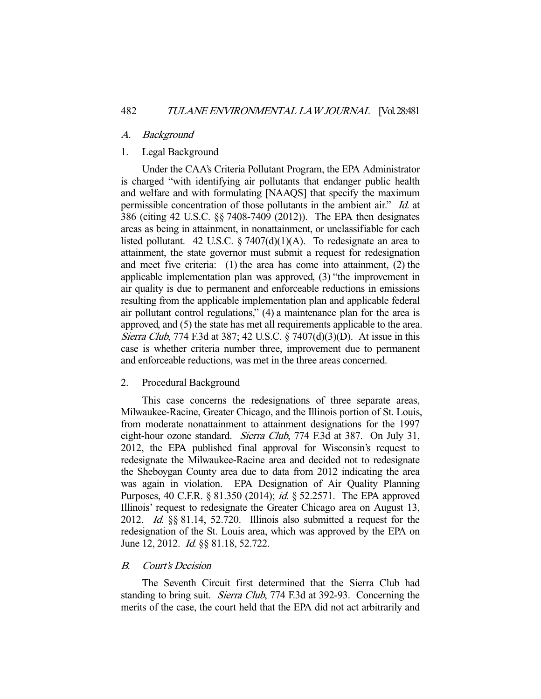## A. Background

# 1. Legal Background

 Under the CAA's Criteria Pollutant Program, the EPA Administrator is charged "with identifying air pollutants that endanger public health and welfare and with formulating [NAAQS] that specify the maximum permissible concentration of those pollutants in the ambient air." Id. at 386 (citing 42 U.S.C. §§ 7408-7409 (2012)). The EPA then designates areas as being in attainment, in nonattainment, or unclassifiable for each listed pollutant. 42 U.S.C.  $\S 7407(d)(1)(A)$ . To redesignate an area to attainment, the state governor must submit a request for redesignation and meet five criteria: (1) the area has come into attainment, (2) the applicable implementation plan was approved, (3) "the improvement in air quality is due to permanent and enforceable reductions in emissions resulting from the applicable implementation plan and applicable federal air pollutant control regulations," (4) a maintenance plan for the area is approved, and (5) the state has met all requirements applicable to the area. Sierra Club, 774 F.3d at 387; 42 U.S.C. § 7407(d)(3)(D). At issue in this case is whether criteria number three, improvement due to permanent and enforceable reductions, was met in the three areas concerned.

# 2. Procedural Background

 This case concerns the redesignations of three separate areas, Milwaukee-Racine, Greater Chicago, and the Illinois portion of St. Louis, from moderate nonattainment to attainment designations for the 1997 eight-hour ozone standard. Sierra Club, 774 F.3d at 387. On July 31, 2012, the EPA published final approval for Wisconsin's request to redesignate the Milwaukee-Racine area and decided not to redesignate the Sheboygan County area due to data from 2012 indicating the area was again in violation. EPA Designation of Air Quality Planning Purposes, 40 C.F.R. § 81.350 (2014); *id.* § 52.2571. The EPA approved Illinois' request to redesignate the Greater Chicago area on August 13, 2012. Id. §§ 81.14, 52.720. Illinois also submitted a request for the redesignation of the St. Louis area, which was approved by the EPA on June 12, 2012. *Id.* §§ 81.18, 52.722.

## B. Court's Decision

 The Seventh Circuit first determined that the Sierra Club had standing to bring suit. *Sierra Club*, 774 F.3d at 392-93. Concerning the merits of the case, the court held that the EPA did not act arbitrarily and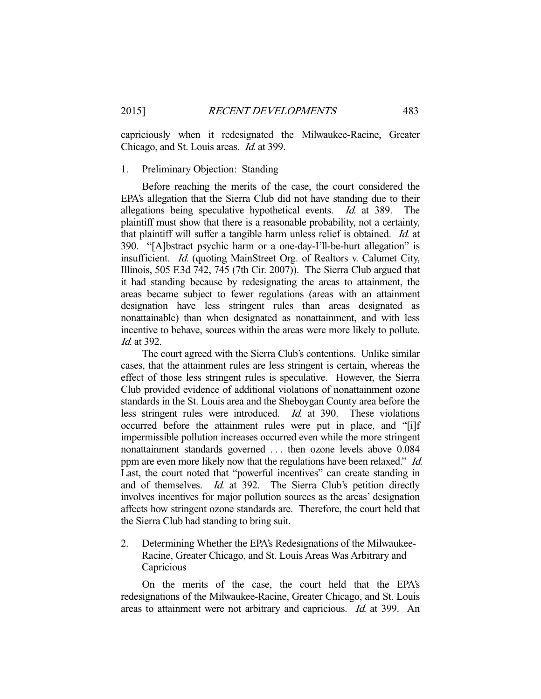capriciously when it redesignated the Milwaukee-Racine, Greater Chicago, and St. Louis areas. Id. at 399.

# 1. Preliminary Objection: Standing

 Before reaching the merits of the case, the court considered the EPA's allegation that the Sierra Club did not have standing due to their allegations being speculative hypothetical events. Id. at 389. The plaintiff must show that there is a reasonable probability, not a certainty, that plaintiff will suffer a tangible harm unless relief is obtained. *Id.* at 390. "[A]bstract psychic harm or a one-day-I'll-be-hurt allegation" is insufficient. Id. (quoting MainStreet Org. of Realtors v. Calumet City, Illinois, 505 F.3d 742, 745 (7th Cir. 2007)). The Sierra Club argued that it had standing because by redesignating the areas to attainment, the areas became subject to fewer regulations (areas with an attainment designation have less stringent rules than areas designated as nonattainable) than when designated as nonattainment, and with less incentive to behave, sources within the areas were more likely to pollute. Id. at  $392$ .

 The court agreed with the Sierra Club's contentions. Unlike similar cases, that the attainment rules are less stringent is certain, whereas the effect of those less stringent rules is speculative. However, the Sierra Club provided evidence of additional violations of nonattainment ozone standards in the St. Louis area and the Sheboygan County area before the less stringent rules were introduced. Id. at 390. These violations occurred before the attainment rules were put in place, and "[i]f impermissible pollution increases occurred even while the more stringent nonattainment standards governed . . . then ozone levels above 0.084 ppm are even more likely now that the regulations have been relaxed." Id. Last, the court noted that "powerful incentives" can create standing in and of themselves. Id. at 392. The Sierra Club's petition directly involves incentives for major pollution sources as the areas' designation affects how stringent ozone standards are. Therefore, the court held that the Sierra Club had standing to bring suit.

2. Determining Whether the EPA's Redesignations of the Milwaukee-Racine, Greater Chicago, and St. Louis Areas Was Arbitrary and **Capricious** 

 On the merits of the case, the court held that the EPA's redesignations of the Milwaukee-Racine, Greater Chicago, and St. Louis areas to attainment were not arbitrary and capricious. Id. at 399. An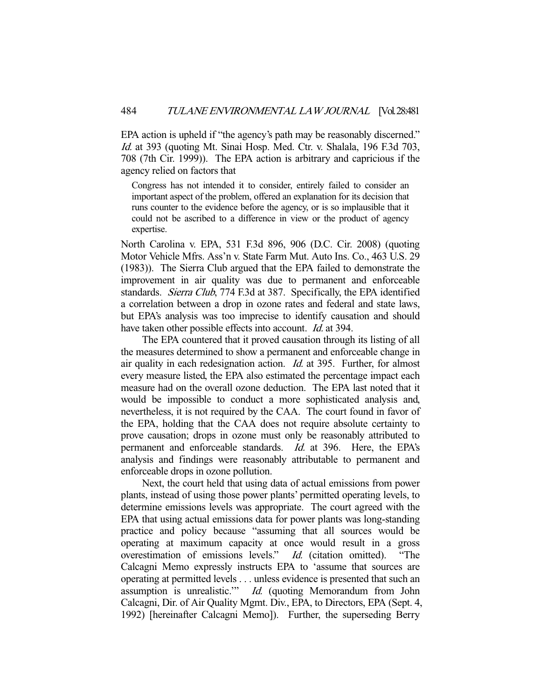EPA action is upheld if "the agency's path may be reasonably discerned." Id. at 393 (quoting Mt. Sinai Hosp. Med. Ctr. v. Shalala, 196 F.3d 703, 708 (7th Cir. 1999)). The EPA action is arbitrary and capricious if the agency relied on factors that

Congress has not intended it to consider, entirely failed to consider an important aspect of the problem, offered an explanation for its decision that runs counter to the evidence before the agency, or is so implausible that it could not be ascribed to a difference in view or the product of agency expertise.

North Carolina v. EPA, 531 F.3d 896, 906 (D.C. Cir. 2008) (quoting Motor Vehicle Mfrs. Ass'n v. State Farm Mut. Auto Ins. Co., 463 U.S. 29 (1983)). The Sierra Club argued that the EPA failed to demonstrate the improvement in air quality was due to permanent and enforceable standards. Sierra Club, 774 F.3d at 387. Specifically, the EPA identified a correlation between a drop in ozone rates and federal and state laws, but EPA's analysis was too imprecise to identify causation and should have taken other possible effects into account. *Id.* at 394.

 The EPA countered that it proved causation through its listing of all the measures determined to show a permanent and enforceable change in air quality in each redesignation action. Id. at 395. Further, for almost every measure listed, the EPA also estimated the percentage impact each measure had on the overall ozone deduction. The EPA last noted that it would be impossible to conduct a more sophisticated analysis and, nevertheless, it is not required by the CAA. The court found in favor of the EPA, holding that the CAA does not require absolute certainty to prove causation; drops in ozone must only be reasonably attributed to permanent and enforceable standards. Id. at 396. Here, the EPA's analysis and findings were reasonably attributable to permanent and enforceable drops in ozone pollution.

 Next, the court held that using data of actual emissions from power plants, instead of using those power plants' permitted operating levels, to determine emissions levels was appropriate. The court agreed with the EPA that using actual emissions data for power plants was long-standing practice and policy because "assuming that all sources would be operating at maximum capacity at once would result in a gross overestimation of emissions levels." Id. (citation omitted). "The Calcagni Memo expressly instructs EPA to 'assume that sources are operating at permitted levels . . . unless evidence is presented that such an assumption is unrealistic.'" Id. (quoting Memorandum from John Calcagni, Dir. of Air Quality Mgmt. Div., EPA, to Directors, EPA (Sept. 4, 1992) [hereinafter Calcagni Memo]). Further, the superseding Berry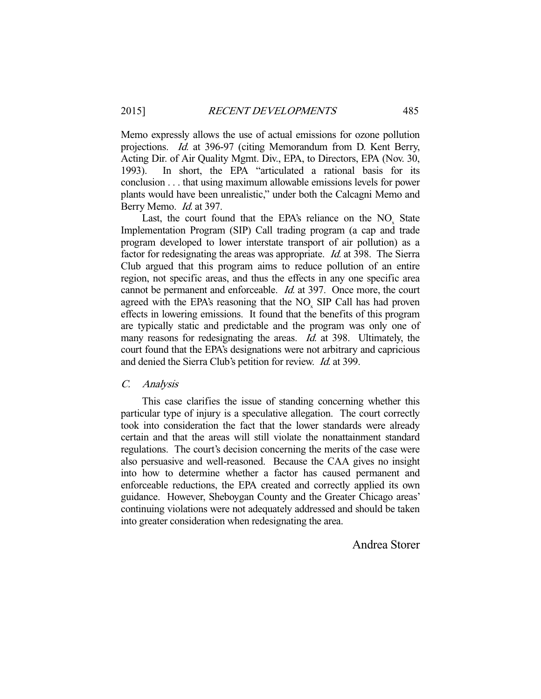Memo expressly allows the use of actual emissions for ozone pollution projections. Id. at 396-97 (citing Memorandum from D. Kent Berry, Acting Dir. of Air Quality Mgmt. Div., EPA, to Directors, EPA (Nov. 30, 1993). In short, the EPA "articulated a rational basis for its conclusion . . . that using maximum allowable emissions levels for power plants would have been unrealistic," under both the Calcagni Memo and Berry Memo. *Id.* at 397.

Last, the court found that the EPA's reliance on the  $NO<sub>x</sub>$  State Implementation Program (SIP) Call trading program (a cap and trade program developed to lower interstate transport of air pollution) as a factor for redesignating the areas was appropriate. *Id.* at 398. The Sierra Club argued that this program aims to reduce pollution of an entire region, not specific areas, and thus the effects in any one specific area cannot be permanent and enforceable. Id. at 397. Once more, the court agreed with the EPA's reasoning that the  $NO<sub>x</sub>$  SIP Call has had proven effects in lowering emissions. It found that the benefits of this program are typically static and predictable and the program was only one of many reasons for redesignating the areas. *Id.* at 398. Ultimately, the court found that the EPA's designations were not arbitrary and capricious and denied the Sierra Club's petition for review. Id. at 399.

#### C. Analysis

 This case clarifies the issue of standing concerning whether this particular type of injury is a speculative allegation. The court correctly took into consideration the fact that the lower standards were already certain and that the areas will still violate the nonattainment standard regulations. The court's decision concerning the merits of the case were also persuasive and well-reasoned. Because the CAA gives no insight into how to determine whether a factor has caused permanent and enforceable reductions, the EPA created and correctly applied its own guidance. However, Sheboygan County and the Greater Chicago areas' continuing violations were not adequately addressed and should be taken into greater consideration when redesignating the area.

Andrea Storer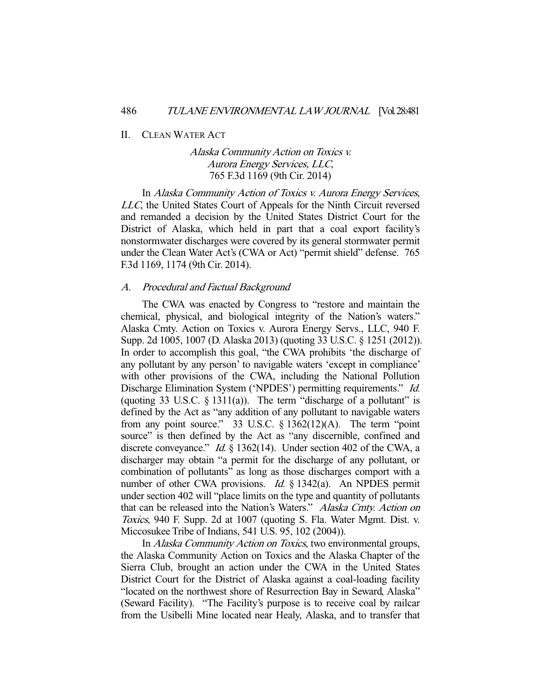#### II. CLEAN WATER ACT

# Alaska Community Action on Toxics v. Aurora Energy Services, LLC, 765 F.3d 1169 (9th Cir. 2014)

 In Alaska Community Action of Toxics v. Aurora Energy Services, LLC, the United States Court of Appeals for the Ninth Circuit reversed and remanded a decision by the United States District Court for the District of Alaska, which held in part that a coal export facility's nonstormwater discharges were covered by its general stormwater permit under the Clean Water Act's (CWA or Act) "permit shield" defense. 765 F.3d 1169, 1174 (9th Cir. 2014).

## A. Procedural and Factual Background

 The CWA was enacted by Congress to "restore and maintain the chemical, physical, and biological integrity of the Nation's waters." Alaska Cmty. Action on Toxics v. Aurora Energy Servs., LLC, 940 F. Supp. 2d 1005, 1007 (D. Alaska 2013) (quoting 33 U.S.C. § 1251 (2012)). In order to accomplish this goal, "the CWA prohibits 'the discharge of any pollutant by any person' to navigable waters 'except in compliance' with other provisions of the CWA, including the National Pollution Discharge Elimination System ('NPDES') permitting requirements." Id. (quoting 33 U.S.C.  $\S$  1311(a)). The term "discharge of a pollutant" is defined by the Act as "any addition of any pollutant to navigable waters from any point source." 33 U.S.C.  $\S 1362(12)(A)$ . The term "point" source" is then defined by the Act as "any discernible, confined and discrete conveyance." *Id.* § 1362(14). Under section 402 of the CWA, a discharger may obtain "a permit for the discharge of any pollutant, or combination of pollutants" as long as those discharges comport with a number of other CWA provisions. *Id.* § 1342(a). An NPDES permit under section 402 will "place limits on the type and quantity of pollutants that can be released into the Nation's Waters." Alaska Cmty. Action on Toxics, 940 F. Supp. 2d at 1007 (quoting S. Fla. Water Mgmt. Dist. v. Miccosukee Tribe of Indians, 541 U.S. 95, 102 (2004)).

 In Alaska Community Action on Toxics, two environmental groups, the Alaska Community Action on Toxics and the Alaska Chapter of the Sierra Club, brought an action under the CWA in the United States District Court for the District of Alaska against a coal-loading facility "located on the northwest shore of Resurrection Bay in Seward, Alaska" (Seward Facility). "The Facility's purpose is to receive coal by railcar from the Usibelli Mine located near Healy, Alaska, and to transfer that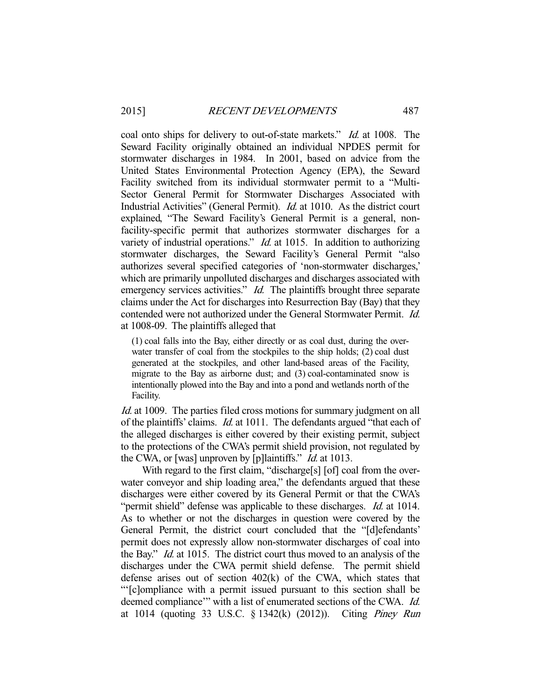coal onto ships for delivery to out-of-state markets." *Id.* at 1008. The Seward Facility originally obtained an individual NPDES permit for stormwater discharges in 1984. In 2001, based on advice from the United States Environmental Protection Agency (EPA), the Seward Facility switched from its individual stormwater permit to a "Multi-Sector General Permit for Stormwater Discharges Associated with Industrial Activities" (General Permit). *Id.* at 1010. As the district court explained, "The Seward Facility's General Permit is a general, nonfacility-specific permit that authorizes stormwater discharges for a variety of industrial operations."  $Id$  at 1015. In addition to authorizing stormwater discharges, the Seward Facility's General Permit "also authorizes several specified categories of 'non-stormwater discharges,' which are primarily unpolluted discharges and discharges associated with emergency services activities." *Id.* The plaintiffs brought three separate claims under the Act for discharges into Resurrection Bay (Bay) that they contended were not authorized under the General Stormwater Permit. Id. at 1008-09. The plaintiffs alleged that

(1) coal falls into the Bay, either directly or as coal dust, during the overwater transfer of coal from the stockpiles to the ship holds; (2) coal dust generated at the stockpiles, and other land-based areas of the Facility, migrate to the Bay as airborne dust; and (3) coal-contaminated snow is intentionally plowed into the Bay and into a pond and wetlands north of the Facility.

Id. at 1009. The parties filed cross motions for summary judgment on all of the plaintiffs' claims. Id. at 1011. The defendants argued "that each of the alleged discharges is either covered by their existing permit, subject to the protections of the CWA's permit shield provision, not regulated by the CWA, or [was] unproven by [p]laintiffs." *Id.* at 1013.

With regard to the first claim, "discharge[s] [of] coal from the overwater conveyor and ship loading area," the defendants argued that these discharges were either covered by its General Permit or that the CWA's "permit shield" defense was applicable to these discharges. *Id.* at 1014. As to whether or not the discharges in question were covered by the General Permit, the district court concluded that the "[d]efendants' permit does not expressly allow non-stormwater discharges of coal into the Bay." Id. at 1015. The district court thus moved to an analysis of the discharges under the CWA permit shield defense. The permit shield defense arises out of section 402(k) of the CWA, which states that "'[c]ompliance with a permit issued pursuant to this section shall be deemed compliance" with a list of enumerated sections of the CWA. Id. at 1014 (quoting 33 U.S.C. § 1342(k) (2012)). Citing Piney Run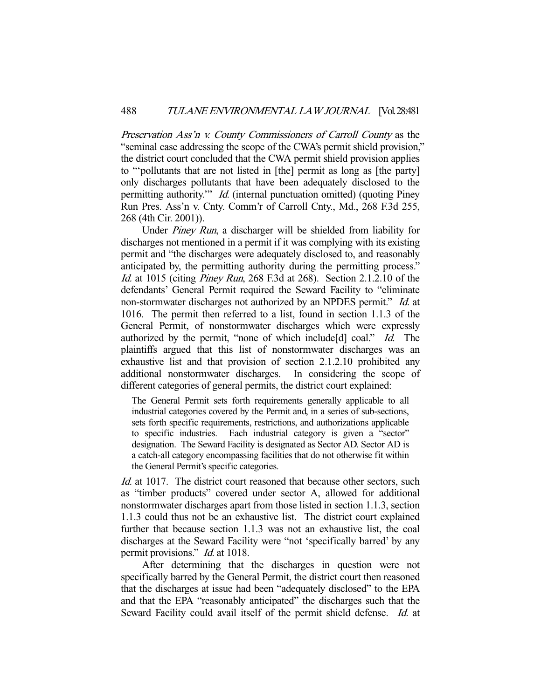Preservation Ass'n v. County Commissioners of Carroll County as the "seminal case addressing the scope of the CWA's permit shield provision," the district court concluded that the CWA permit shield provision applies to "'pollutants that are not listed in [the] permit as long as [the party] only discharges pollutants that have been adequately disclosed to the permitting authority." *Id.* (internal punctuation omitted) (quoting Piney Run Pres. Ass'n v. Cnty. Comm'r of Carroll Cnty., Md., 268 F.3d 255, 268 (4th Cir. 2001)).

 Under Piney Run, a discharger will be shielded from liability for discharges not mentioned in a permit if it was complying with its existing permit and "the discharges were adequately disclosed to, and reasonably anticipated by, the permitting authority during the permitting process." Id. at 1015 (citing Piney Run, 268 F.3d at 268). Section 2.1.2.10 of the defendants' General Permit required the Seward Facility to "eliminate non-stormwater discharges not authorized by an NPDES permit." *Id.* at 1016. The permit then referred to a list, found in section 1.1.3 of the General Permit, of nonstormwater discharges which were expressly authorized by the permit, "none of which include [d] coal." *Id.* The plaintiffs argued that this list of nonstormwater discharges was an exhaustive list and that provision of section 2.1.2.10 prohibited any additional nonstormwater discharges. In considering the scope of different categories of general permits, the district court explained:

The General Permit sets forth requirements generally applicable to all industrial categories covered by the Permit and, in a series of sub-sections, sets forth specific requirements, restrictions, and authorizations applicable to specific industries. Each industrial category is given a "sector" designation. The Seward Facility is designated as Sector AD. Sector AD is a catch-all category encompassing facilities that do not otherwise fit within the General Permit's specific categories.

Id. at 1017. The district court reasoned that because other sectors, such as "timber products" covered under sector A, allowed for additional nonstormwater discharges apart from those listed in section 1.1.3, section 1.1.3 could thus not be an exhaustive list. The district court explained further that because section 1.1.3 was not an exhaustive list, the coal discharges at the Seward Facility were "not 'specifically barred' by any permit provisions." *Id.* at 1018.

 After determining that the discharges in question were not specifically barred by the General Permit, the district court then reasoned that the discharges at issue had been "adequately disclosed" to the EPA and that the EPA "reasonably anticipated" the discharges such that the Seward Facility could avail itself of the permit shield defense. *Id.* at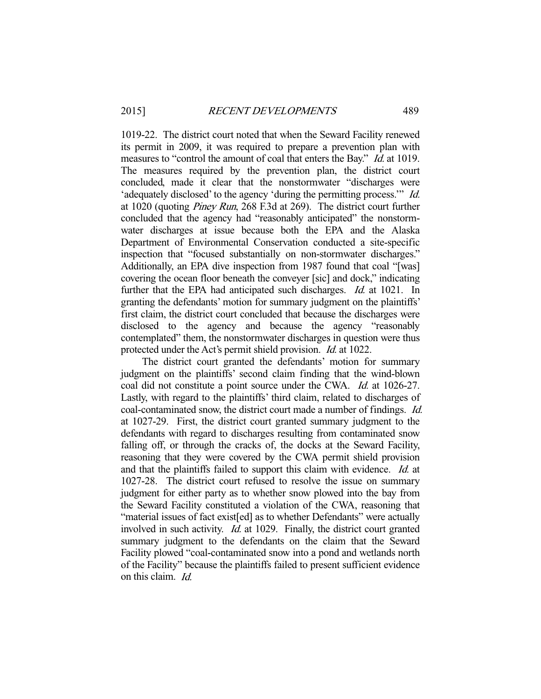1019-22. The district court noted that when the Seward Facility renewed its permit in 2009, it was required to prepare a prevention plan with measures to "control the amount of coal that enters the Bay." *Id.* at 1019. The measures required by the prevention plan, the district court concluded, made it clear that the nonstormwater "discharges were 'adequately disclosed' to the agency 'during the permitting process.'" Id. at 1020 (quoting Piney Run, 268 F.3d at 269). The district court further concluded that the agency had "reasonably anticipated" the nonstormwater discharges at issue because both the EPA and the Alaska Department of Environmental Conservation conducted a site-specific inspection that "focused substantially on non-stormwater discharges." Additionally, an EPA dive inspection from 1987 found that coal "[was] covering the ocean floor beneath the conveyer [sic] and dock," indicating further that the EPA had anticipated such discharges. *Id.* at 1021. In granting the defendants' motion for summary judgment on the plaintiffs' first claim, the district court concluded that because the discharges were disclosed to the agency and because the agency "reasonably contemplated" them, the nonstormwater discharges in question were thus protected under the Act's permit shield provision. Id. at 1022.

 The district court granted the defendants' motion for summary judgment on the plaintiffs' second claim finding that the wind-blown coal did not constitute a point source under the CWA. Id. at 1026-27. Lastly, with regard to the plaintiffs' third claim, related to discharges of coal-contaminated snow, the district court made a number of findings. Id. at 1027-29. First, the district court granted summary judgment to the defendants with regard to discharges resulting from contaminated snow falling off, or through the cracks of, the docks at the Seward Facility, reasoning that they were covered by the CWA permit shield provision and that the plaintiffs failed to support this claim with evidence. Id. at 1027-28. The district court refused to resolve the issue on summary judgment for either party as to whether snow plowed into the bay from the Seward Facility constituted a violation of the CWA, reasoning that "material issues of fact exist[ed] as to whether Defendants" were actually involved in such activity. Id. at 1029. Finally, the district court granted summary judgment to the defendants on the claim that the Seward Facility plowed "coal-contaminated snow into a pond and wetlands north of the Facility" because the plaintiffs failed to present sufficient evidence on this claim. Id.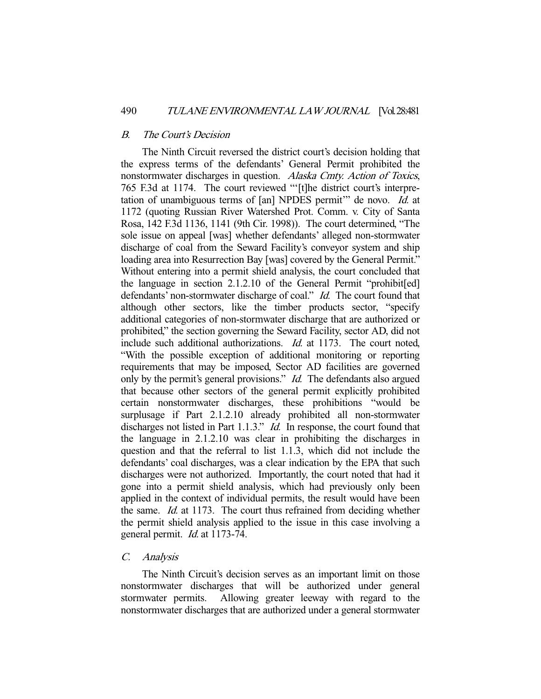## B. The Court's Decision

 The Ninth Circuit reversed the district court's decision holding that the express terms of the defendants' General Permit prohibited the nonstormwater discharges in question. Alaska Cmty. Action of Toxics, 765 F.3d at 1174. The court reviewed "'[t]he district court's interpretation of unambiguous terms of [an] NPDES permit" de novo. Id. at 1172 (quoting Russian River Watershed Prot. Comm. v. City of Santa Rosa, 142 F.3d 1136, 1141 (9th Cir. 1998)). The court determined, "The sole issue on appeal [was] whether defendants' alleged non-stormwater discharge of coal from the Seward Facility's conveyor system and ship loading area into Resurrection Bay [was] covered by the General Permit." Without entering into a permit shield analysis, the court concluded that the language in section 2.1.2.10 of the General Permit "prohibit[ed] defendants' non-stormwater discharge of coal." *Id.* The court found that although other sectors, like the timber products sector, "specify additional categories of non-stormwater discharge that are authorized or prohibited," the section governing the Seward Facility, sector AD, did not include such additional authorizations. *Id.* at 1173. The court noted, "With the possible exception of additional monitoring or reporting requirements that may be imposed, Sector AD facilities are governed only by the permit's general provisions." *Id.* The defendants also argued that because other sectors of the general permit explicitly prohibited certain nonstormwater discharges, these prohibitions "would be surplusage if Part 2.1.2.10 already prohibited all non-stormwater discharges not listed in Part 1.1.3." *Id.* In response, the court found that the language in 2.1.2.10 was clear in prohibiting the discharges in question and that the referral to list 1.1.3, which did not include the defendants' coal discharges, was a clear indication by the EPA that such discharges were not authorized. Importantly, the court noted that had it gone into a permit shield analysis, which had previously only been applied in the context of individual permits, the result would have been the same. Id. at 1173. The court thus refrained from deciding whether the permit shield analysis applied to the issue in this case involving a general permit. Id. at 1173-74.

## C. Analysis

 The Ninth Circuit's decision serves as an important limit on those nonstormwater discharges that will be authorized under general stormwater permits. Allowing greater leeway with regard to the nonstormwater discharges that are authorized under a general stormwater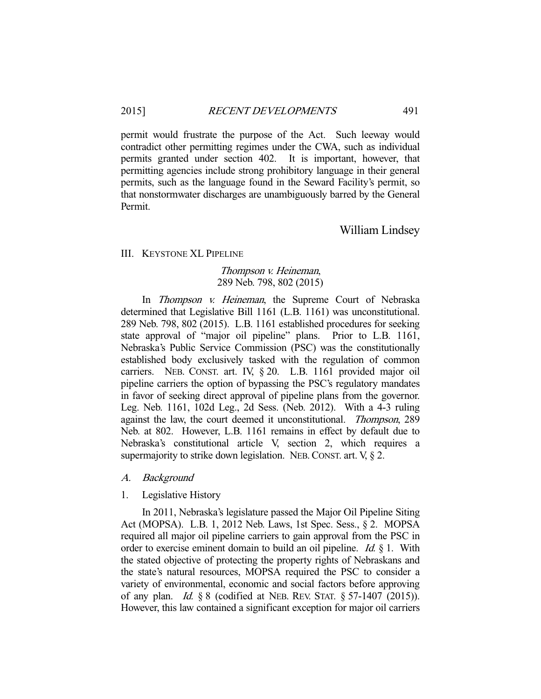permit would frustrate the purpose of the Act. Such leeway would contradict other permitting regimes under the CWA, such as individual permits granted under section 402. It is important, however, that permitting agencies include strong prohibitory language in their general permits, such as the language found in the Seward Facility's permit, so that nonstormwater discharges are unambiguously barred by the General Permit.

# William Lindsey

#### III. KEYSTONE XL PIPELINE

## Thompson v. Heineman, 289 Neb. 798, 802 (2015)

 In Thompson v. Heineman, the Supreme Court of Nebraska determined that Legislative Bill 1161 (L.B. 1161) was unconstitutional. 289 Neb. 798, 802 (2015). L.B. 1161 established procedures for seeking state approval of "major oil pipeline" plans. Prior to L.B. 1161, Nebraska's Public Service Commission (PSC) was the constitutionally established body exclusively tasked with the regulation of common carriers. NEB. CONST. art. IV, § 20. L.B. 1161 provided major oil pipeline carriers the option of bypassing the PSC's regulatory mandates in favor of seeking direct approval of pipeline plans from the governor. Leg. Neb. 1161, 102d Leg., 2d Sess. (Neb. 2012). With a 4-3 ruling against the law, the court deemed it unconstitutional. Thompson, 289 Neb. at 802. However, L.B. 1161 remains in effect by default due to Nebraska's constitutional article V, section 2, which requires a supermajority to strike down legislation. NEB. CONST. art. V, § 2.

A. Background

1. Legislative History

 In 2011, Nebraska's legislature passed the Major Oil Pipeline Siting Act (MOPSA). L.B. 1, 2012 Neb. Laws, 1st Spec. Sess., § 2. MOPSA required all major oil pipeline carriers to gain approval from the PSC in order to exercise eminent domain to build an oil pipeline. *Id.*  $\S$  1. With the stated objective of protecting the property rights of Nebraskans and the state's natural resources, MOPSA required the PSC to consider a variety of environmental, economic and social factors before approving of any plan. *Id.*  $\&$  8 (codified at NEB. REV. STAT.  $\&$  57-1407 (2015)). However, this law contained a significant exception for major oil carriers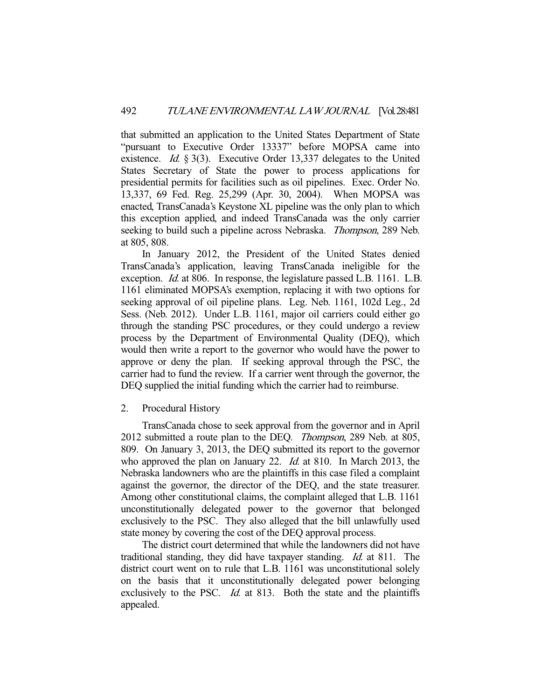that submitted an application to the United States Department of State "pursuant to Executive Order 13337" before MOPSA came into existence. *Id.* § 3(3). Executive Order 13,337 delegates to the United States Secretary of State the power to process applications for presidential permits for facilities such as oil pipelines. Exec. Order No. 13,337, 69 Fed. Reg. 25,299 (Apr. 30, 2004). When MOPSA was enacted, TransCanada's Keystone XL pipeline was the only plan to which this exception applied, and indeed TransCanada was the only carrier seeking to build such a pipeline across Nebraska. *Thompson*, 289 Neb. at 805, 808.

 In January 2012, the President of the United States denied TransCanada's application, leaving TransCanada ineligible for the exception. *Id.* at 806. In response, the legislature passed L.B. 1161. L.B. 1161 eliminated MOPSA's exemption, replacing it with two options for seeking approval of oil pipeline plans. Leg. Neb. 1161, 102d Leg., 2d Sess. (Neb. 2012). Under L.B. 1161, major oil carriers could either go through the standing PSC procedures, or they could undergo a review process by the Department of Environmental Quality (DEQ), which would then write a report to the governor who would have the power to approve or deny the plan. If seeking approval through the PSC, the carrier had to fund the review. If a carrier went through the governor, the DEQ supplied the initial funding which the carrier had to reimburse.

## 2. Procedural History

 TransCanada chose to seek approval from the governor and in April 2012 submitted a route plan to the DEQ. Thompson, 289 Neb. at 805, 809. On January 3, 2013, the DEQ submitted its report to the governor who approved the plan on January 22. *Id.* at 810. In March 2013, the Nebraska landowners who are the plaintiffs in this case filed a complaint against the governor, the director of the DEQ, and the state treasurer. Among other constitutional claims, the complaint alleged that L.B. 1161 unconstitutionally delegated power to the governor that belonged exclusively to the PSC. They also alleged that the bill unlawfully used state money by covering the cost of the DEQ approval process.

 The district court determined that while the landowners did not have traditional standing, they did have taxpayer standing. Id. at 811. The district court went on to rule that L.B. 1161 was unconstitutional solely on the basis that it unconstitutionally delegated power belonging exclusively to the PSC. *Id.* at 813. Both the state and the plaintiffs appealed.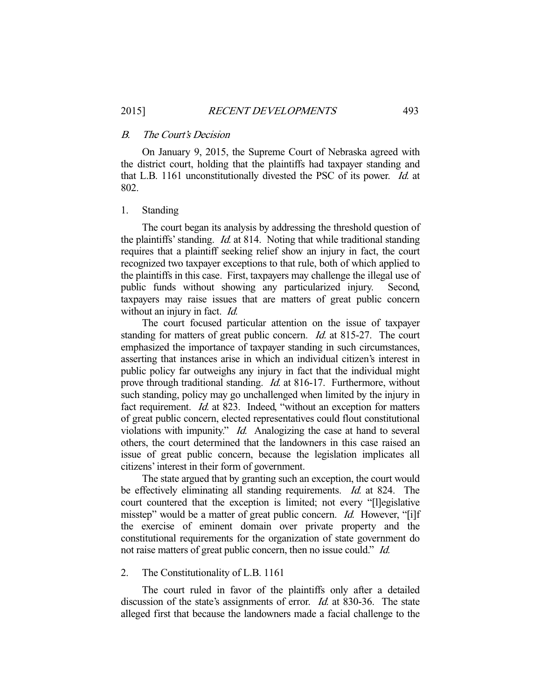## B. The Court's Decision

 On January 9, 2015, the Supreme Court of Nebraska agreed with the district court, holding that the plaintiffs had taxpayer standing and that L.B. 1161 unconstitutionally divested the PSC of its power. Id. at 802.

#### 1. Standing

 The court began its analysis by addressing the threshold question of the plaintiffs' standing. *Id.* at 814. Noting that while traditional standing requires that a plaintiff seeking relief show an injury in fact, the court recognized two taxpayer exceptions to that rule, both of which applied to the plaintiffs in this case. First, taxpayers may challenge the illegal use of public funds without showing any particularized injury. Second, taxpayers may raise issues that are matters of great public concern without an injury in fact. *Id.* 

 The court focused particular attention on the issue of taxpayer standing for matters of great public concern. *Id.* at 815-27. The court emphasized the importance of taxpayer standing in such circumstances, asserting that instances arise in which an individual citizen's interest in public policy far outweighs any injury in fact that the individual might prove through traditional standing. *Id.* at 816-17. Furthermore, without such standing, policy may go unchallenged when limited by the injury in fact requirement. *Id.* at 823. Indeed, "without an exception for matters of great public concern, elected representatives could flout constitutional violations with impunity." *Id.* Analogizing the case at hand to several others, the court determined that the landowners in this case raised an issue of great public concern, because the legislation implicates all citizens' interest in their form of government.

 The state argued that by granting such an exception, the court would be effectively eliminating all standing requirements. *Id.* at 824. The court countered that the exception is limited; not every "[l]egislative misstep" would be a matter of great public concern. *Id.* However, "[i]f the exercise of eminent domain over private property and the constitutional requirements for the organization of state government do not raise matters of great public concern, then no issue could." *Id.* 

## 2. The Constitutionality of L.B. 1161

 The court ruled in favor of the plaintiffs only after a detailed discussion of the state's assignments of error. *Id.* at 830-36. The state alleged first that because the landowners made a facial challenge to the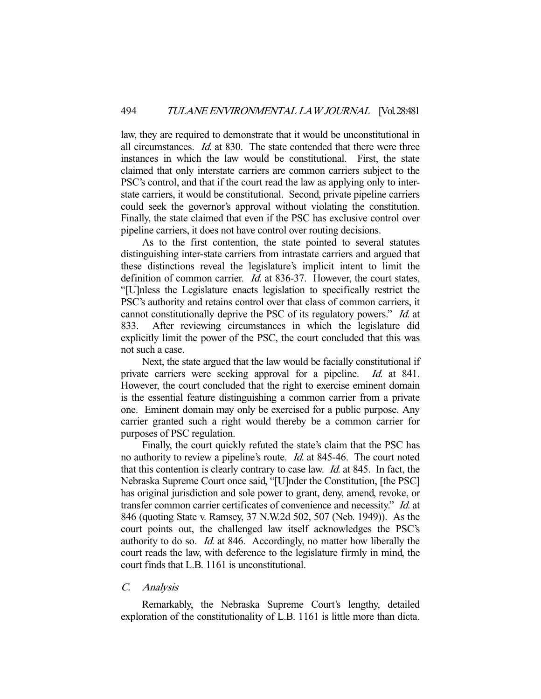law, they are required to demonstrate that it would be unconstitutional in all circumstances. Id. at 830. The state contended that there were three instances in which the law would be constitutional. First, the state claimed that only interstate carriers are common carriers subject to the PSC's control, and that if the court read the law as applying only to interstate carriers, it would be constitutional. Second, private pipeline carriers could seek the governor's approval without violating the constitution. Finally, the state claimed that even if the PSC has exclusive control over pipeline carriers, it does not have control over routing decisions.

 As to the first contention, the state pointed to several statutes distinguishing inter-state carriers from intrastate carriers and argued that these distinctions reveal the legislature's implicit intent to limit the definition of common carrier. *Id.* at 836-37. However, the court states, "[U]nless the Legislature enacts legislation to specifically restrict the PSC's authority and retains control over that class of common carriers, it cannot constitutionally deprive the PSC of its regulatory powers." Id. at 833. After reviewing circumstances in which the legislature did explicitly limit the power of the PSC, the court concluded that this was not such a case.

 Next, the state argued that the law would be facially constitutional if private carriers were seeking approval for a pipeline. *Id.* at 841. However, the court concluded that the right to exercise eminent domain is the essential feature distinguishing a common carrier from a private one. Eminent domain may only be exercised for a public purpose. Any carrier granted such a right would thereby be a common carrier for purposes of PSC regulation.

 Finally, the court quickly refuted the state's claim that the PSC has no authority to review a pipeline's route. Id. at 845-46. The court noted that this contention is clearly contrary to case law. Id. at 845. In fact, the Nebraska Supreme Court once said, "[U]nder the Constitution, [the PSC] has original jurisdiction and sole power to grant, deny, amend, revoke, or transfer common carrier certificates of convenience and necessity." Id. at 846 (quoting State v. Ramsey, 37 N.W.2d 502, 507 (Neb. 1949)). As the court points out, the challenged law itself acknowledges the PSC's authority to do so. Id. at 846. Accordingly, no matter how liberally the court reads the law, with deference to the legislature firmly in mind, the court finds that L.B. 1161 is unconstitutional.

# C. Analysis

 Remarkably, the Nebraska Supreme Court's lengthy, detailed exploration of the constitutionality of L.B. 1161 is little more than dicta.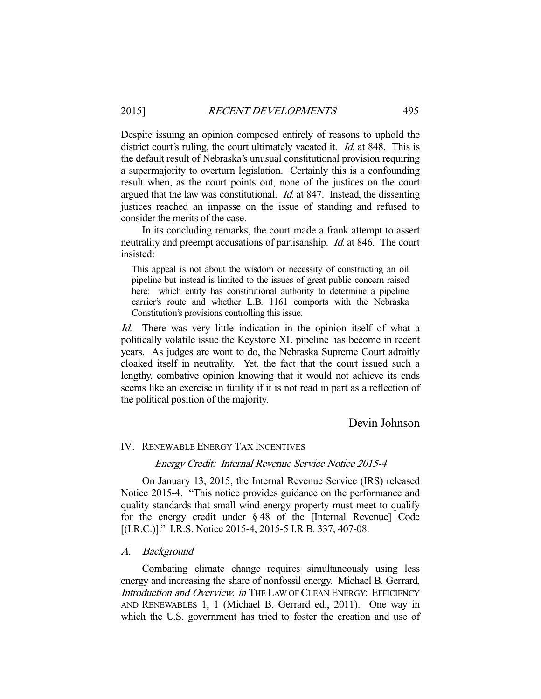Despite issuing an opinion composed entirely of reasons to uphold the district court's ruling, the court ultimately vacated it. *Id.* at 848. This is the default result of Nebraska's unusual constitutional provision requiring a supermajority to overturn legislation. Certainly this is a confounding result when, as the court points out, none of the justices on the court argued that the law was constitutional. Id. at 847. Instead, the dissenting justices reached an impasse on the issue of standing and refused to consider the merits of the case.

 In its concluding remarks, the court made a frank attempt to assert neutrality and preempt accusations of partisanship. Id. at 846. The court insisted:

This appeal is not about the wisdom or necessity of constructing an oil pipeline but instead is limited to the issues of great public concern raised here: which entity has constitutional authority to determine a pipeline carrier's route and whether L.B. 1161 comports with the Nebraska Constitution's provisions controlling this issue.

Id. There was very little indication in the opinion itself of what a politically volatile issue the Keystone XL pipeline has become in recent years. As judges are wont to do, the Nebraska Supreme Court adroitly cloaked itself in neutrality. Yet, the fact that the court issued such a lengthy, combative opinion knowing that it would not achieve its ends seems like an exercise in futility if it is not read in part as a reflection of the political position of the majority.

# Devin Johnson

# IV. RENEWABLE ENERGY TAX INCENTIVES

#### Energy Credit: Internal Revenue Service Notice 2015-4

 On January 13, 2015, the Internal Revenue Service (IRS) released Notice 2015-4. "This notice provides guidance on the performance and quality standards that small wind energy property must meet to qualify for the energy credit under § 48 of the [Internal Revenue] Code [(I.R.C.)]." I.R.S. Notice 2015-4, 2015-5 I.R.B. 337, 407-08.

## A. Background

 Combating climate change requires simultaneously using less energy and increasing the share of nonfossil energy. Michael B. Gerrard, Introduction and Overview, in THE LAW OF CLEAN ENERGY: EFFICIENCY AND RENEWABLES 1, 1 (Michael B. Gerrard ed., 2011). One way in which the U.S. government has tried to foster the creation and use of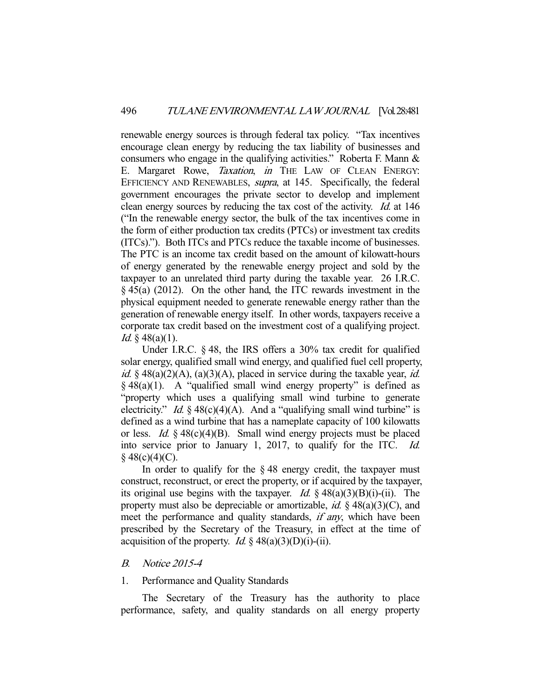renewable energy sources is through federal tax policy. "Tax incentives encourage clean energy by reducing the tax liability of businesses and consumers who engage in the qualifying activities." Roberta F. Mann & E. Margaret Rowe, *Taxation*, *in* THE LAW OF CLEAN ENERGY: EFFICIENCY AND RENEWABLES, *supra*, at 145. Specifically, the federal government encourages the private sector to develop and implement clean energy sources by reducing the tax cost of the activity. Id. at 146 ("In the renewable energy sector, the bulk of the tax incentives come in the form of either production tax credits (PTCs) or investment tax credits (ITCs)."). Both ITCs and PTCs reduce the taxable income of businesses. The PTC is an income tax credit based on the amount of kilowatt-hours of energy generated by the renewable energy project and sold by the taxpayer to an unrelated third party during the taxable year. 26 I.R.C. § 45(a) (2012). On the other hand, the ITC rewards investment in the physical equipment needed to generate renewable energy rather than the generation of renewable energy itself. In other words, taxpayers receive a corporate tax credit based on the investment cost of a qualifying project. *Id.* § 48(a)(1).

 Under I.R.C. § 48, the IRS offers a 30% tax credit for qualified solar energy, qualified small wind energy, and qualified fuel cell property, id. § 48(a)(2)(A), (a)(3)(A), placed in service during the taxable year, id.  $§$  48(a)(1). A "qualified small wind energy property" is defined as "property which uses a qualifying small wind turbine to generate electricity." *Id.*  $\S$  48(c)(4)(A). And a "qualifying small wind turbine" is defined as a wind turbine that has a nameplate capacity of 100 kilowatts or less. *Id.*  $\frac{6}{3}$  48(c)(4)(B). Small wind energy projects must be placed into service prior to January 1, 2017, to qualify for the ITC. Id.  $§$  48(c)(4)(C).

In order to qualify for the  $\S 48$  energy credit, the taxpayer must construct, reconstruct, or erect the property, or if acquired by the taxpayer, its original use begins with the taxpayer. *Id.*  $\S$  48(a)(3)(B)(i)-(ii). The property must also be depreciable or amortizable, *id.*  $\S$  48(a)(3)(C), and meet the performance and quality standards, *if any*, which have been prescribed by the Secretary of the Treasury, in effect at the time of acquisition of the property. *Id.*  $\&$  48(a)(3)(D)(i)-(ii).

# B. Notice 2015-4

## 1. Performance and Quality Standards

 The Secretary of the Treasury has the authority to place performance, safety, and quality standards on all energy property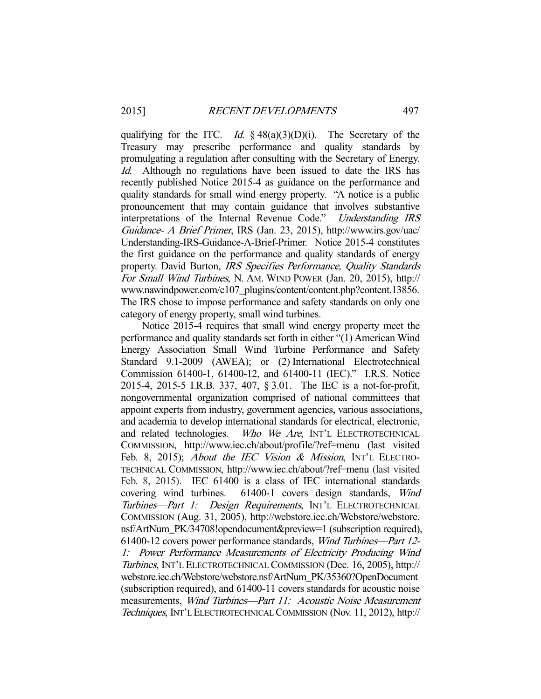qualifying for the ITC. Id.  $\frac{3}{48(a)(3)(D)(i)}$ . The Secretary of the Treasury may prescribe performance and quality standards by promulgating a regulation after consulting with the Secretary of Energy. Id. Although no regulations have been issued to date the IRS has recently published Notice 2015-4 as guidance on the performance and quality standards for small wind energy property. "A notice is a public pronouncement that may contain guidance that involves substantive interpretations of the Internal Revenue Code." Understanding IRS Guidance- A Brief Primer, IRS (Jan. 23, 2015), http://www.irs.gov/uac/ Understanding-IRS-Guidance-A-Brief-Primer. Notice 2015-4 constitutes the first guidance on the performance and quality standards of energy property. David Burton, IRS Specifies Performance, Quality Standards For Small Wind Turbines, N. AM. WIND POWER (Jan. 20, 2015), http:// www.nawindpower.com/e107\_plugins/content/content.php?content.13856. The IRS chose to impose performance and safety standards on only one category of energy property, small wind turbines.

 Notice 2015-4 requires that small wind energy property meet the performance and quality standards set forth in either "(1) American Wind Energy Association Small Wind Turbine Performance and Safety Standard 9.1-2009 (AWEA); or (2) International Electrotechnical Commission 61400-1, 61400-12, and 61400-11 (IEC)." I.R.S. Notice 2015-4, 2015-5 I.R.B. 337, 407, § 3.01. The IEC is a not-for-profit, nongovernmental organization comprised of national committees that appoint experts from industry, government agencies, various associations, and academia to develop international standards for electrical, electronic, and related technologies. Who We Are, INT'L ELECTROTECHNICAL COMMISSION, http://www.iec.ch/about/profile/?ref=menu (last visited Feb. 8, 2015); About the IEC Vision & Mission, INT'L ELECTRO-TECHNICAL COMMISSION, http://www.iec.ch/about/?ref=menu (last visited Feb. 8, 2015). IEC 61400 is a class of IEC international standards covering wind turbines. 61400-1 covers design standards, Wind Turbines—Part 1: Design Requirements, INT'L ELECTROTECHNICAL COMMISSION (Aug. 31, 2005), http://webstore.iec.ch/Webstore/webstore. nsf/ArtNum\_PK/34708!opendocument&preview=1 (subscription required), 61400-12 covers power performance standards, Wind Turbines—Part 12- 1: Power Performance Measurements of Electricity Producing Wind Turbines, INT'L ELECTROTECHNICAL COMMISSION (Dec. 16, 2005), http:// webstore.iec.ch/Webstore/webstore.nsf/ArtNum\_PK/35360?OpenDocument (subscription required), and 61400-11 covers standards for acoustic noise measurements, Wind Turbines—Part 11: Acoustic Noise Measurement Techniques, INT'L ELECTROTECHNICAL COMMISSION (Nov. 11, 2012), http://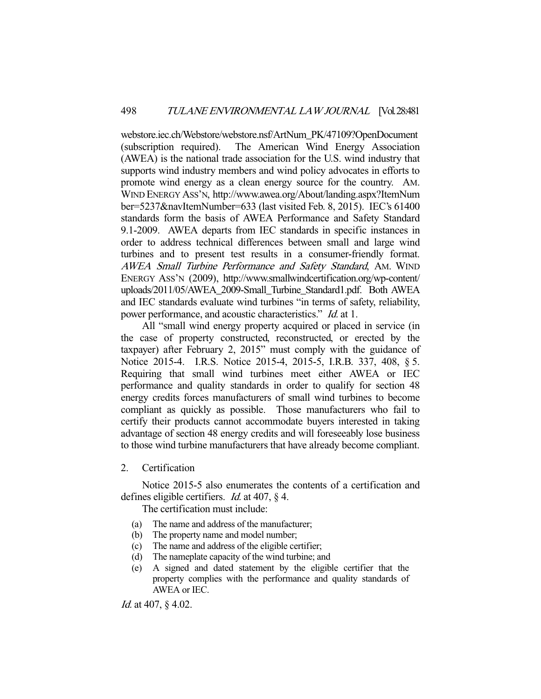webstore.iec.ch/Webstore/webstore.nsf/ArtNum\_PK/47109?OpenDocument (subscription required). The American Wind Energy Association (AWEA) is the national trade association for the U.S. wind industry that supports wind industry members and wind policy advocates in efforts to promote wind energy as a clean energy source for the country. AM. WIND ENERGY ASS'N, http://www.awea.org/About/landing.aspx?ItemNum ber=5237&navItemNumber=633 (last visited Feb. 8, 2015). IEC's 61400 standards form the basis of AWEA Performance and Safety Standard 9.1-2009. AWEA departs from IEC standards in specific instances in order to address technical differences between small and large wind turbines and to present test results in a consumer-friendly format. AWEA Small Turbine Performance and Safety Standard, AM. WIND ENERGY ASS'N (2009), http://www.smallwindcertification.org/wp-content/ uploads/2011/05/AWEA\_2009-Small\_Turbine\_Standard1.pdf. Both AWEA and IEC standards evaluate wind turbines "in terms of safety, reliability, power performance, and acoustic characteristics." Id. at 1.

 All "small wind energy property acquired or placed in service (in the case of property constructed, reconstructed, or erected by the taxpayer) after February 2, 2015" must comply with the guidance of Notice 2015-4. I.R.S. Notice 2015-4, 2015-5, I.R.B. 337, 408, § 5. Requiring that small wind turbines meet either AWEA or IEC performance and quality standards in order to qualify for section 48 energy credits forces manufacturers of small wind turbines to become compliant as quickly as possible. Those manufacturers who fail to certify their products cannot accommodate buyers interested in taking advantage of section 48 energy credits and will foreseeably lose business to those wind turbine manufacturers that have already become compliant.

# 2. Certification

 Notice 2015-5 also enumerates the contents of a certification and defines eligible certifiers. *Id.* at 407, § 4.

The certification must include:

- (a) The name and address of the manufacturer;
- (b) The property name and model number;
- (c) The name and address of the eligible certifier;
- (d) The nameplate capacity of the wind turbine; and
- (e) A signed and dated statement by the eligible certifier that the property complies with the performance and quality standards of AWEA or IEC.

Id. at 407, § 4.02.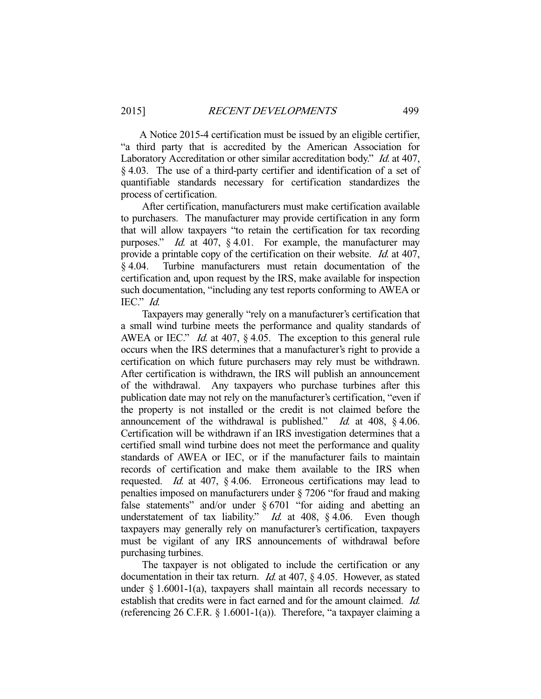A Notice 2015-4 certification must be issued by an eligible certifier, "a third party that is accredited by the American Association for Laboratory Accreditation or other similar accreditation body." Id. at 407, § 4.03. The use of a third-party certifier and identification of a set of quantifiable standards necessary for certification standardizes the process of certification.

 After certification, manufacturers must make certification available to purchasers. The manufacturer may provide certification in any form that will allow taxpayers "to retain the certification for tax recording purposes." Id. at 407, § 4.01. For example, the manufacturer may provide a printable copy of the certification on their website. *Id.* at 407, § 4.04. Turbine manufacturers must retain documentation of the certification and, upon request by the IRS, make available for inspection such documentation, "including any test reports conforming to AWEA or IEC." Id.

 Taxpayers may generally "rely on a manufacturer's certification that a small wind turbine meets the performance and quality standards of AWEA or IEC." *Id.* at 407, § 4.05. The exception to this general rule occurs when the IRS determines that a manufacturer's right to provide a certification on which future purchasers may rely must be withdrawn. After certification is withdrawn, the IRS will publish an announcement of the withdrawal. Any taxpayers who purchase turbines after this publication date may not rely on the manufacturer's certification, "even if the property is not installed or the credit is not claimed before the announcement of the withdrawal is published." Id. at 408,  $\S$  4.06. Certification will be withdrawn if an IRS investigation determines that a certified small wind turbine does not meet the performance and quality standards of AWEA or IEC, or if the manufacturer fails to maintain records of certification and make them available to the IRS when requested. Id. at 407, § 4.06. Erroneous certifications may lead to penalties imposed on manufacturers under § 7206 "for fraud and making false statements" and/or under § 6701 "for aiding and abetting an understatement of tax liability." *Id.* at 408, § 4.06. Even though taxpayers may generally rely on manufacturer's certification, taxpayers must be vigilant of any IRS announcements of withdrawal before purchasing turbines.

 The taxpayer is not obligated to include the certification or any documentation in their tax return. *Id.* at 407, § 4.05. However, as stated under  $\S$  1.6001-1(a), taxpayers shall maintain all records necessary to establish that credits were in fact earned and for the amount claimed. Id. (referencing 26 C.F.R.  $\S$  1.6001-1(a)). Therefore, "a taxpayer claiming a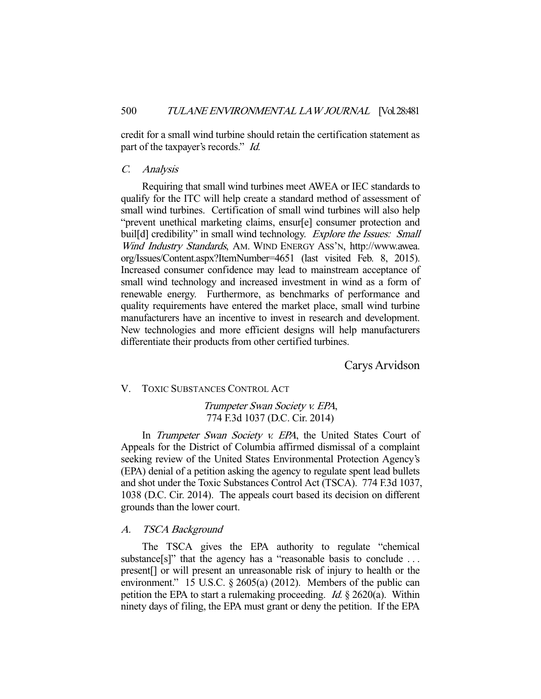credit for a small wind turbine should retain the certification statement as part of the taxpayer's records." Id.

## C. Analysis

 Requiring that small wind turbines meet AWEA or IEC standards to qualify for the ITC will help create a standard method of assessment of small wind turbines. Certification of small wind turbines will also help "prevent unethical marketing claims, ensur[e] consumer protection and buil[d] credibility" in small wind technology. Explore the Issues: Small Wind Industry Standards, AM. WIND ENERGY ASS'N, http://www.awea. org/Issues/Content.aspx?ItemNumber=4651 (last visited Feb. 8, 2015). Increased consumer confidence may lead to mainstream acceptance of small wind technology and increased investment in wind as a form of renewable energy. Furthermore, as benchmarks of performance and quality requirements have entered the market place, small wind turbine manufacturers have an incentive to invest in research and development. New technologies and more efficient designs will help manufacturers differentiate their products from other certified turbines.

Carys Arvidson

# V. TOXIC SUBSTANCES CONTROL ACT

Trumpeter Swan Society v. EPA, 774 F.3d 1037 (D.C. Cir. 2014)

In *Trumpeter Swan Society v. EPA*, the United States Court of Appeals for the District of Columbia affirmed dismissal of a complaint seeking review of the United States Environmental Protection Agency's (EPA) denial of a petition asking the agency to regulate spent lead bullets and shot under the Toxic Substances Control Act (TSCA). 774 F.3d 1037, 1038 (D.C. Cir. 2014). The appeals court based its decision on different grounds than the lower court.

## A. TSCA Background

 The TSCA gives the EPA authority to regulate "chemical substance[s]" that the agency has a "reasonable basis to conclude ... present[] or will present an unreasonable risk of injury to health or the environment." 15 U.S.C. § 2605(a) (2012). Members of the public can petition the EPA to start a rulemaking proceeding.  $Id. \S$  2620(a). Within ninety days of filing, the EPA must grant or deny the petition. If the EPA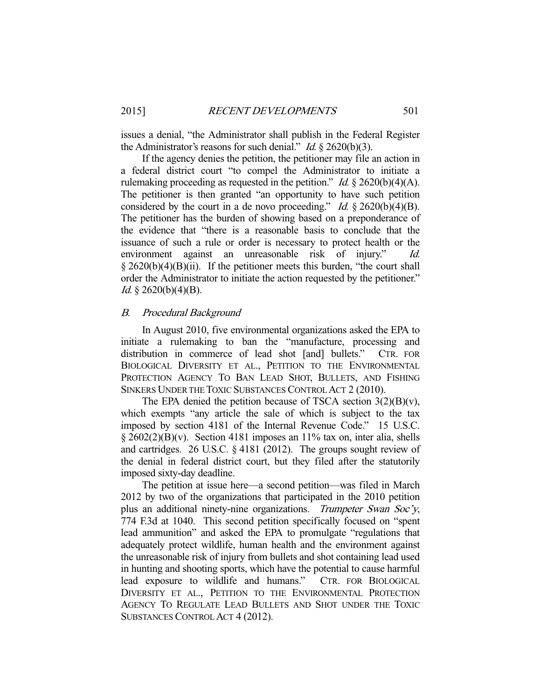issues a denial, "the Administrator shall publish in the Federal Register the Administrator's reasons for such denial." *Id.*  $\S$  2620(b)(3).

 If the agency denies the petition, the petitioner may file an action in a federal district court "to compel the Administrator to initiate a rulemaking proceeding as requested in the petition." *Id.*  $\S$  2620(b)(4)(A). The petitioner is then granted "an opportunity to have such petition considered by the court in a de novo proceeding." Id.  $\S 2620(b)(4)(B)$ . The petitioner has the burden of showing based on a preponderance of the evidence that "there is a reasonable basis to conclude that the issuance of such a rule or order is necessary to protect health or the environment against an unreasonable risk of injury."  $\S 2620(b)(4)(B)(ii)$ . If the petitioner meets this burden, "the court shall order the Administrator to initiate the action requested by the petitioner." *Id.* § 2620(b)(4)(B).

#### B. Procedural Background

 In August 2010, five environmental organizations asked the EPA to initiate a rulemaking to ban the "manufacture, processing and distribution in commerce of lead shot [and] bullets." CTR. FOR BIOLOGICAL DIVERSITY ET AL., PETITION TO THE ENVIRONMENTAL PROTECTION AGENCY TO BAN LEAD SHOT, BULLETS, AND FISHING SINKERS UNDER THE TOXIC SUBSTANCES CONTROL ACT 2 (2010).

The EPA denied the petition because of TSCA section  $3(2)(B)(v)$ , which exempts "any article the sale of which is subject to the tax imposed by section 4181 of the Internal Revenue Code." 15 U.S.C. § 2602(2)(B)(v). Section 4181 imposes an 11% tax on, inter alia, shells and cartridges. 26 U.S.C. § 4181 (2012). The groups sought review of the denial in federal district court, but they filed after the statutorily imposed sixty-day deadline.

 The petition at issue here—a second petition—was filed in March 2012 by two of the organizations that participated in the 2010 petition plus an additional ninety-nine organizations. Trumpeter Swan Soc'y, 774 F.3d at 1040. This second petition specifically focused on "spent lead ammunition" and asked the EPA to promulgate "regulations that adequately protect wildlife, human health and the environment against the unreasonable risk of injury from bullets and shot containing lead used in hunting and shooting sports, which have the potential to cause harmful lead exposure to wildlife and humans." CTR. FOR BIOLOGICAL DIVERSITY ET AL., PETITION TO THE ENVIRONMENTAL PROTECTION AGENCY TO REGULATE LEAD BULLETS AND SHOT UNDER THE TOXIC SUBSTANCES CONTROL ACT 4 (2012).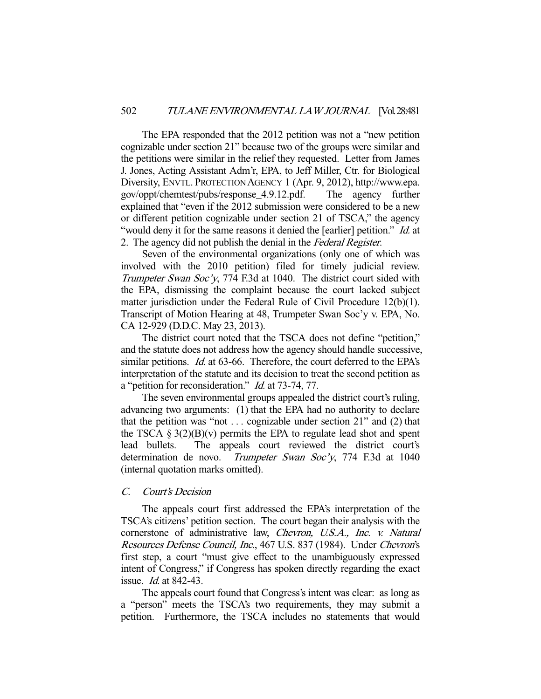The EPA responded that the 2012 petition was not a "new petition cognizable under section 21" because two of the groups were similar and the petitions were similar in the relief they requested. Letter from James J. Jones, Acting Assistant Adm'r, EPA, to Jeff Miller, Ctr. for Biological Diversity, ENVTL. PROTECTION AGENCY 1 (Apr. 9, 2012), http://www.epa. gov/oppt/chemtest/pubs/response\_4.9.12.pdf. The agency further explained that "even if the 2012 submission were considered to be a new or different petition cognizable under section 21 of TSCA," the agency "would deny it for the same reasons it denied the [earlier] petition." *Id.* at 2. The agency did not publish the denial in the Federal Register.

 Seven of the environmental organizations (only one of which was involved with the 2010 petition) filed for timely judicial review. Trumpeter Swan Soc'y, 774 F.3d at 1040. The district court sided with the EPA, dismissing the complaint because the court lacked subject matter jurisdiction under the Federal Rule of Civil Procedure 12(b)(1). Transcript of Motion Hearing at 48, Trumpeter Swan Soc'y v. EPA, No. CA 12-929 (D.D.C. May 23, 2013).

 The district court noted that the TSCA does not define "petition," and the statute does not address how the agency should handle successive, similar petitions. *Id.* at 63-66. Therefore, the court deferred to the EPA's interpretation of the statute and its decision to treat the second petition as a "petition for reconsideration." Id. at 73-74, 77.

 The seven environmental groups appealed the district court's ruling, advancing two arguments: (1) that the EPA had no authority to declare that the petition was "not  $\dots$  cognizable under section 21" and (2) that the TSCA  $\S 3(2)(B)(v)$  permits the EPA to regulate lead shot and spent lead bullets. The appeals court reviewed the district court's determination de novo. Trumpeter Swan Soc'y, 774 F.3d at 1040 (internal quotation marks omitted).

## C. Court's Decision

 The appeals court first addressed the EPA's interpretation of the TSCA's citizens' petition section. The court began their analysis with the cornerstone of administrative law, Chevron, U.S.A., Inc. v. Natural Resources Defense Council, Inc., 467 U.S. 837 (1984). Under Chevron's first step, a court "must give effect to the unambiguously expressed intent of Congress," if Congress has spoken directly regarding the exact issue. Id. at 842-43.

 The appeals court found that Congress's intent was clear: as long as a "person" meets the TSCA's two requirements, they may submit a petition. Furthermore, the TSCA includes no statements that would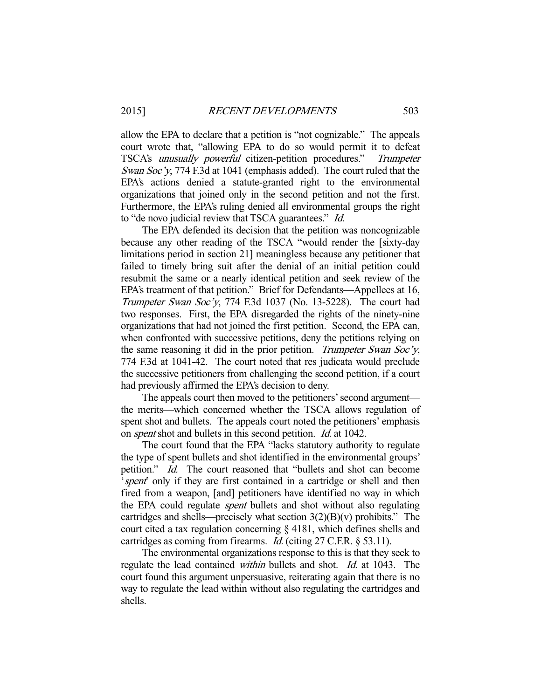allow the EPA to declare that a petition is "not cognizable." The appeals court wrote that, "allowing EPA to do so would permit it to defeat TSCA's unusually powerful citizen-petition procedures." Trumpeter Swan Soc'y, 774 F.3d at 1041 (emphasis added). The court ruled that the EPA's actions denied a statute-granted right to the environmental organizations that joined only in the second petition and not the first. Furthermore, the EPA's ruling denied all environmental groups the right to "de novo judicial review that TSCA guarantees." Id.

 The EPA defended its decision that the petition was noncognizable because any other reading of the TSCA "would render the [sixty-day limitations period in section 21] meaningless because any petitioner that failed to timely bring suit after the denial of an initial petition could resubmit the same or a nearly identical petition and seek review of the EPA's treatment of that petition." Brief for Defendants—Appellees at 16, Trumpeter Swan Soc'y, 774 F.3d 1037 (No. 13-5228). The court had two responses. First, the EPA disregarded the rights of the ninety-nine organizations that had not joined the first petition. Second, the EPA can, when confronted with successive petitions, deny the petitions relying on the same reasoning it did in the prior petition. Trumpeter Swan Soc'y, 774 F.3d at 1041-42. The court noted that res judicata would preclude the successive petitioners from challenging the second petition, if a court had previously affirmed the EPA's decision to deny.

 The appeals court then moved to the petitioners' second argument the merits—which concerned whether the TSCA allows regulation of spent shot and bullets. The appeals court noted the petitioners' emphasis on spent shot and bullets in this second petition. Id. at 1042.

 The court found that the EPA "lacks statutory authority to regulate the type of spent bullets and shot identified in the environmental groups' petition." *Id.* The court reasoned that "bullets and shot can become 'spent' only if they are first contained in a cartridge or shell and then fired from a weapon, [and] petitioners have identified no way in which the EPA could regulate *spent* bullets and shot without also regulating cartridges and shells—precisely what section  $3(2)(B)(v)$  prohibits." The court cited a tax regulation concerning § 4181, which defines shells and cartridges as coming from firearms. *Id.* (citing 27 C.F.R. § 53.11).

 The environmental organizations response to this is that they seek to regulate the lead contained *within* bullets and shot. *Id.* at 1043. The court found this argument unpersuasive, reiterating again that there is no way to regulate the lead within without also regulating the cartridges and shells.